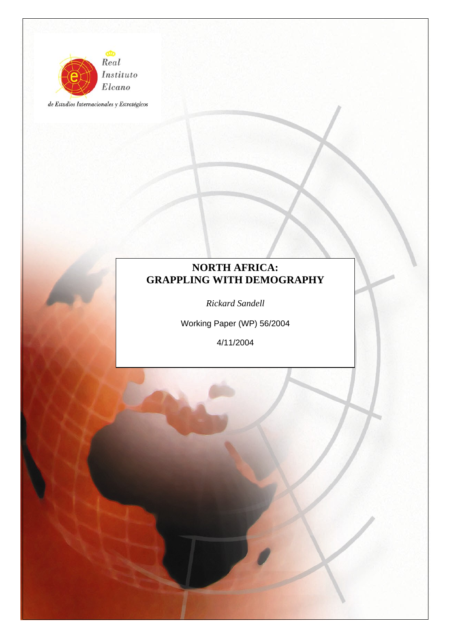

de Estudios Internacionales y Estratégicos

# **NORTH AFRICA: GRAPPLING WITH DEMOGRAPHY**

*Rickard Sandell* 

Working Paper (WP) 56/2004

4/11/2004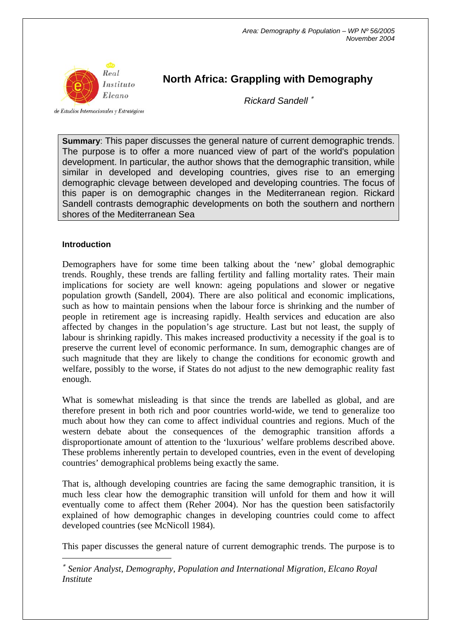

de Estudios Internacionales y Estratégicos

# **North Africa: Grappling with Demography**

*Rickard Sandell* <sup>∗</sup>

**Summary**: This paper discusses the general nature of current demographic trends. The purpose is to offer a more nuanced view of part of the world's population development. In particular, the author shows that the demographic transition, while similar in developed and developing countries, gives rise to an emerging demographic clevage between developed and developing countries. The focus of this paper is on demographic changes in the Mediterranean region. Rickard Sandell contrasts demographic developments on both the southern and northern shores of the Mediterranean Sea

## **Introduction**

 $\overline{a}$ 

Demographers have for some time been talking about the 'new' global demographic trends. Roughly, these trends are falling fertility and falling mortality rates. Their main implications for society are well known: ageing populations and slower or negative population growth (Sandell, 2004). There are also political and economic implications, such as how to maintain pensions when the labour force is shrinking and the number of people in retirement age is increasing rapidly. Health services and education are also affected by changes in the population's age structure. Last but not least, the supply of labour is shrinking rapidly. This makes increased productivity a necessity if the goal is to preserve the current level of economic performance. In sum, demographic changes are of such magnitude that they are likely to change the conditions for economic growth and welfare, possibly to the worse, if States do not adjust to the new demographic reality fast enough.

What is somewhat misleading is that since the trends are labelled as global, and are therefore present in both rich and poor countries world-wide, we tend to generalize too much about how they can come to affect individual countries and regions. Much of the western debate about the consequences of the demographic transition affords a disproportionate amount of attention to the 'luxurious' welfare problems described above. These problems inherently pertain to developed countries, even in the event of developing countries' demographical problems being exactly the same.

That is, although developing countries are facing the same demographic transition, it is much less clear how the demographic transition will unfold for them and how it will eventually come to affect them (Reher 2004). Nor has the question been satisfactorily explained of how demographic changes in developing countries could come to affect developed countries (see McNicoll 1984).

This paper discusses the general nature of current demographic trends. The purpose is to

∗ *Senior Analyst, Demography, Population and International Migration, Elcano Royal Institute*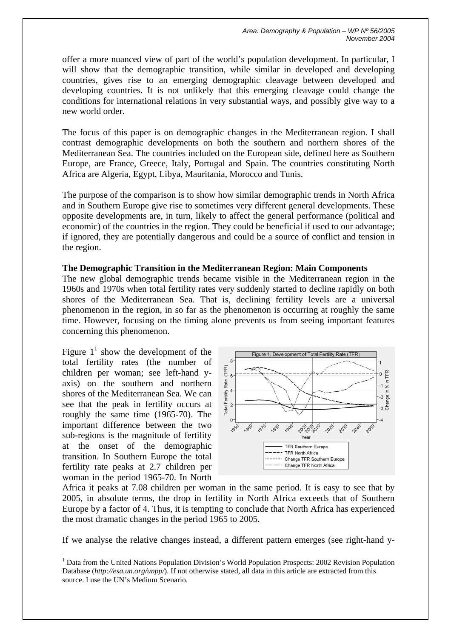offer a more nuanced view of part of the world's population development. In particular, I will show that the demographic transition, while similar in developed and developing countries, gives rise to an emerging demographic cleavage between developed and developing countries. It is not unlikely that this emerging cleavage could change the conditions for international relations in very substantial ways, and possibly give way to a new world order.

The focus of this paper is on demographic changes in the Mediterranean region. I shall contrast demographic developments on both the southern and northern shores of the Mediterranean Sea. The countries included on the European side, defined here as Southern Europe, are France, Greece, Italy, Portugal and Spain. The countries constituting North Africa are Algeria, Egypt, Libya, Mauritania, Morocco and Tunis.

The purpose of the comparison is to show how similar demographic trends in North Africa and in Southern Europe give rise to sometimes very different general developments. These opposite developments are, in turn, likely to affect the general performance (political and economic) of the countries in the region. They could be beneficial if used to our advantage; if ignored, they are potentially dangerous and could be a source of conflict and tension in the region.

#### **The Demographic Transition in the Mediterranean Region: Main Components**

The new global demographic trends became visible in the Mediterranean region in the 1960s and 1970s when total fertility rates very suddenly started to decline rapidly on both shores of the Mediterranean Sea. That is, declining fertility levels are a universal phenomenon in the region, in so far as the phenomenon is occurring at roughly the same time. However, focusing on the timing alone prevents us from seeing important features concerning this phenomenon.

Figure  $1^1$  show the development of the total fertility rates (the number of children per woman; see left-hand yaxis) on the southern and northern shores of the Mediterranean Sea. We can see that the peak in fertility occurs at roughly the same time (1965-70). The important difference between the two sub-regions is the magnitude of fertility at the onset of the demographic transition. In Southern Europe the total fertility rate peaks at 2.7 children per woman in the period 1965-70. In North

 $\overline{a}$ 



Africa it peaks at 7.08 children per woman in the same period. It is easy to see that by 2005, in absolute terms, the drop in fertility in North Africa exceeds that of Southern Europe by a factor of 4. Thus, it is tempting to conclude that North Africa has experienced the most dramatic changes in the period 1965 to 2005.

If we analyse the relative changes instead, a different pattern emerges (see right-hand y-

<sup>&</sup>lt;sup>1</sup> Data from the United Nations Population Division's World Population Prospects: 2002 Revision Population Database (*http://esa.un.org/unpp/*). If not otherwise stated, all data in this article are extracted from this source. I use the UN's Medium Scenario.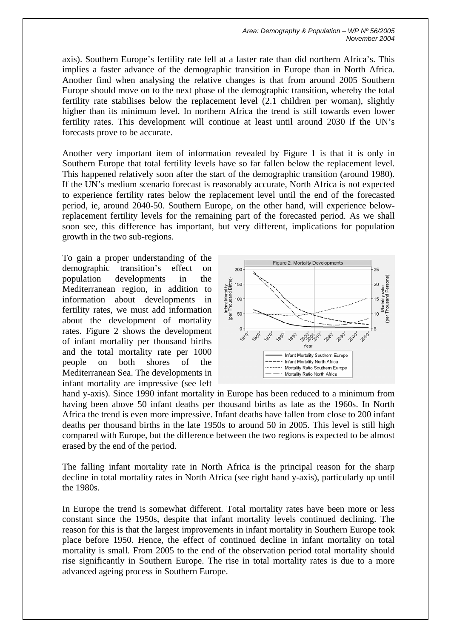axis). Southern Europe's fertility rate fell at a faster rate than did northern Africa's. This implies a faster advance of the demographic transition in Europe than in North Africa. Another find when analysing the relative changes is that from around 2005 Southern Europe should move on to the next phase of the demographic transition, whereby the total fertility rate stabilises below the replacement level (2.1 children per woman), slightly higher than its minimum level. In northern Africa the trend is still towards even lower fertility rates. This development will continue at least until around 2030 if the UN's forecasts prove to be accurate.

Another very important item of information revealed by Figure 1 is that it is only in Southern Europe that total fertility levels have so far fallen below the replacement level. This happened relatively soon after the start of the demographic transition (around 1980). If the UN's medium scenario forecast is reasonably accurate, North Africa is not expected to experience fertility rates below the replacement level until the end of the forecasted period, ie, around 2040-50. Southern Europe, on the other hand, will experience belowreplacement fertility levels for the remaining part of the forecasted period. As we shall soon see, this difference has important, but very different, implications for population growth in the two sub-regions.

To gain a proper understanding of the demographic transition's effect on population developments in the Mediterranean region, in addition to information about developments in fertility rates, we must add information about the development of mortality rates. Figure 2 shows the development of infant mortality per thousand births and the total mortality rate per 1000 people on both shores of the Mediterranean Sea. The developments in infant mortality are impressive (see left



hand y-axis). Since 1990 infant mortality in Europe has been reduced to a minimum from having been above 50 infant deaths per thousand births as late as the 1960s. In North Africa the trend is even more impressive. Infant deaths have fallen from close to 200 infant deaths per thousand births in the late 1950s to around 50 in 2005. This level is still high compared with Europe, but the difference between the two regions is expected to be almost erased by the end of the period.

The falling infant mortality rate in North Africa is the principal reason for the sharp decline in total mortality rates in North Africa (see right hand y-axis), particularly up until the 1980s.

In Europe the trend is somewhat different. Total mortality rates have been more or less constant since the 1950s, despite that infant mortality levels continued declining. The reason for this is that the largest improvements in infant mortality in Southern Europe took place before 1950. Hence, the effect of continued decline in infant mortality on total mortality is small. From 2005 to the end of the observation period total mortality should rise significantly in Southern Europe. The rise in total mortality rates is due to a more advanced ageing process in Southern Europe.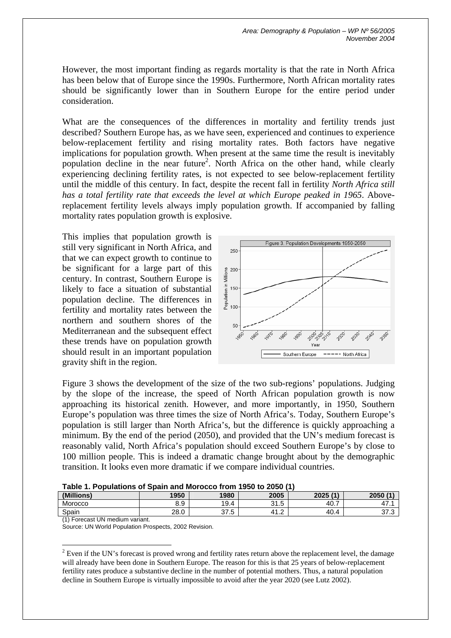However, the most important finding as regards mortality is that the rate in North Africa has been below that of Europe since the 1990s. Furthermore, North African mortality rates should be significantly lower than in Southern Europe for the entire period under consideration.

What are the consequences of the differences in mortality and fertility trends just described? Southern Europe has, as we have seen, experienced and continues to experience below-replacement fertility and rising mortality rates. Both factors have negative implications for population growth. When present at the same time the result is inevitably population decline in the near future<sup>2</sup>. North Africa on the other hand, while clearly experiencing declining fertility rates, is not expected to see below-replacement fertility until the middle of this century. In fact, despite the recent fall in fertility *North Africa still has a total fertility rate that exceeds the level at which Europe peaked in 1965*. Abovereplacement fertility levels always imply population growth. If accompanied by falling mortality rates population growth is explosive.

This implies that population growth is still very significant in North Africa, and that we can expect growth to continue to be significant for a large part of this century. In contrast, Southern Europe is likely to face a situation of substantial population decline. The differences in fertility and mortality rates between the northern and southern shores of the Mediterranean and the subsequent effect these trends have on population growth should result in an important population gravity shift in the region.



Figure 3 shows the development of the size of the two sub-regions' populations. Judging by the slope of the increase, the speed of North African population growth is now approaching its historical zenith. However, and more importantly, in 1950, Southern Europe's population was three times the size of North Africa's. Today, Southern Europe's population is still larger than North Africa's, but the difference is quickly approaching a minimum. By the end of the period (2050), and provided that the UN's medium forecast is reasonably valid, North Africa's population should exceed Southern Europe's by close to 100 million people. This is indeed a dramatic change brought about by the demographic transition. It looks even more dramatic if we compare individual countries.

|  | Table 1. Populations of Spain and Morocco from 1950 to 2050 (1) |  |  |
|--|-----------------------------------------------------------------|--|--|
|  |                                                                 |  |  |

| (Millions) | 1950                | 1980                    | 2005                        | 2025(1) | 2050(1)         |
|------------|---------------------|-------------------------|-----------------------------|---------|-----------------|
| Morocco    | $20^{\circ}$<br>ບ.ອ | 19.4                    | $\Omega$ $\Gamma$<br>ن. ا ب | 40<br>- | 47.             |
| Spain      | 28.0                | 27<br>-<br><br>، ب<br>٠ | 4 A<br>$\sim$<br>.          | 40.4    | $\sim$<br>ن. ان |

(1) Forecast UN medium variant.

 $\overline{a}$ 

Source: UN World Population Prospects, 2002 Revision.

 $2^2$  Even if the UN's forecast is proved wrong and fertility rates return above the replacement level, the damage will already have been done in Southern Europe. The reason for this is that 25 years of below-replacement fertility rates produce a substantive decline in the number of potential mothers. Thus, a natural population decline in Southern Europe is virtually impossible to avoid after the year 2020 (see Lutz 2002).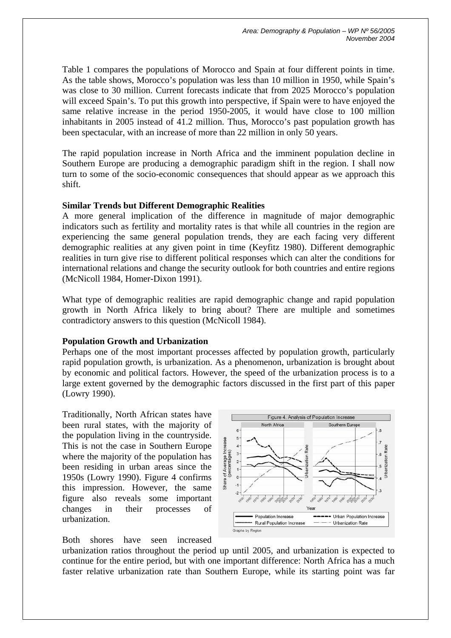Table 1 compares the populations of Morocco and Spain at four different points in time. As the table shows, Morocco's population was less than 10 million in 1950, while Spain's was close to 30 million. Current forecasts indicate that from 2025 Morocco's population will exceed Spain's. To put this growth into perspective, if Spain were to have enjoyed the same relative increase in the period 1950-2005, it would have close to 100 million inhabitants in 2005 instead of 41.2 million. Thus, Morocco's past population growth has been spectacular, with an increase of more than 22 million in only 50 years.

The rapid population increase in North Africa and the imminent population decline in Southern Europe are producing a demographic paradigm shift in the region. I shall now turn to some of the socio-economic consequences that should appear as we approach this shift.

## **Similar Trends but Different Demographic Realities**

A more general implication of the difference in magnitude of major demographic indicators such as fertility and mortality rates is that while all countries in the region are experiencing the same general population trends, they are each facing very different demographic realities at any given point in time (Keyfitz 1980). Different demographic realities in turn give rise to different political responses which can alter the conditions for international relations and change the security outlook for both countries and entire regions (McNicoll 1984, Homer-Dixon 1991).

What type of demographic realities are rapid demographic change and rapid population growth in North Africa likely to bring about? There are multiple and sometimes contradictory answers to this question (McNicoll 1984).

## **Population Growth and Urbanization**

Perhaps one of the most important processes affected by population growth, particularly rapid population growth, is urbanization. As a phenomenon, urbanization is brought about by economic and political factors. However, the speed of the urbanization process is to a large extent governed by the demographic factors discussed in the first part of this paper (Lowry 1990).

Traditionally, North African states have been rural states, with the majority of the population living in the countryside. This is not the case in Southern Europe where the majority of the population has been residing in urban areas since the 1950s (Lowry 1990). Figure 4 confirms this impression. However, the same figure also reveals some important changes in their processes of urbanization.

Both shores have seen increased



urbanization ratios throughout the period up until 2005, and urbanization is expected to continue for the entire period, but with one important difference: North Africa has a much faster relative urbanization rate than Southern Europe, while its starting point was far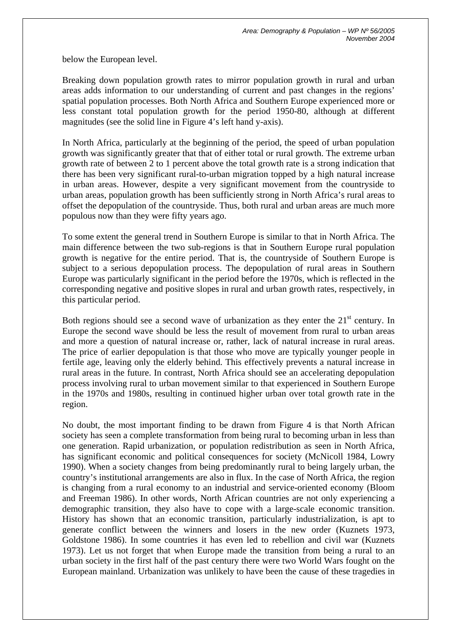below the European level.

Breaking down population growth rates to mirror population growth in rural and urban areas adds information to our understanding of current and past changes in the regions' spatial population processes. Both North Africa and Southern Europe experienced more or less constant total population growth for the period 1950-80, although at different magnitudes (see the solid line in Figure 4's left hand y-axis).

In North Africa, particularly at the beginning of the period, the speed of urban population growth was significantly greater that that of either total or rural growth. The extreme urban growth rate of between 2 to 1 percent above the total growth rate is a strong indication that there has been very significant rural-to-urban migration topped by a high natural increase in urban areas. However, despite a very significant movement from the countryside to urban areas, population growth has been sufficiently strong in North Africa's rural areas to offset the depopulation of the countryside. Thus, both rural and urban areas are much more populous now than they were fifty years ago.

To some extent the general trend in Southern Europe is similar to that in North Africa. The main difference between the two sub-regions is that in Southern Europe rural population growth is negative for the entire period. That is, the countryside of Southern Europe is subject to a serious depopulation process. The depopulation of rural areas in Southern Europe was particularly significant in the period before the 1970s, which is reflected in the corresponding negative and positive slopes in rural and urban growth rates, respectively, in this particular period.

Both regions should see a second wave of urbanization as they enter the  $21<sup>st</sup>$  century. In Europe the second wave should be less the result of movement from rural to urban areas and more a question of natural increase or, rather, lack of natural increase in rural areas. The price of earlier depopulation is that those who move are typically younger people in fertile age, leaving only the elderly behind. This effectively prevents a natural increase in rural areas in the future. In contrast, North Africa should see an accelerating depopulation process involving rural to urban movement similar to that experienced in Southern Europe in the 1970s and 1980s, resulting in continued higher urban over total growth rate in the region.

No doubt, the most important finding to be drawn from Figure 4 is that North African society has seen a complete transformation from being rural to becoming urban in less than one generation. Rapid urbanization, or population redistribution as seen in North Africa, has significant economic and political consequences for society (McNicoll 1984, Lowry 1990). When a society changes from being predominantly rural to being largely urban, the country's institutional arrangements are also in flux. In the case of North Africa, the region is changing from a rural economy to an industrial and service-oriented economy (Bloom and Freeman 1986). In other words, North African countries are not only experiencing a demographic transition, they also have to cope with a large-scale economic transition. History has shown that an economic transition, particularly industrialization, is apt to generate conflict between the winners and losers in the new order (Kuznets 1973, Goldstone 1986). In some countries it has even led to rebellion and civil war (Kuznets 1973). Let us not forget that when Europe made the transition from being a rural to an urban society in the first half of the past century there were two World Wars fought on the European mainland. Urbanization was unlikely to have been the cause of these tragedies in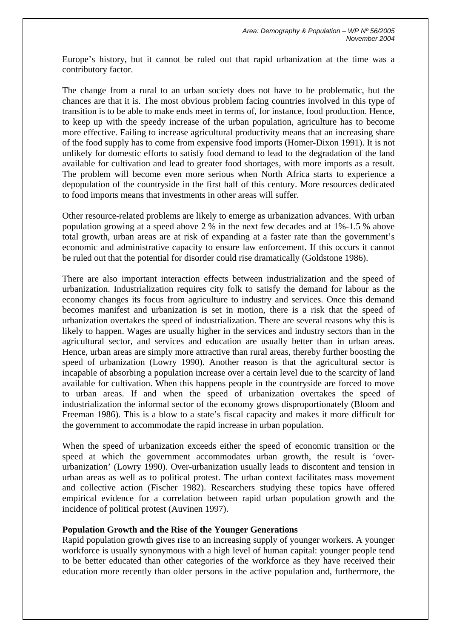Europe's history, but it cannot be ruled out that rapid urbanization at the time was a contributory factor.

The change from a rural to an urban society does not have to be problematic, but the chances are that it is. The most obvious problem facing countries involved in this type of transition is to be able to make ends meet in terms of, for instance, food production. Hence, to keep up with the speedy increase of the urban population, agriculture has to become more effective. Failing to increase agricultural productivity means that an increasing share of the food supply has to come from expensive food imports (Homer-Dixon 1991). It is not unlikely for domestic efforts to satisfy food demand to lead to the degradation of the land available for cultivation and lead to greater food shortages, with more imports as a result. The problem will become even more serious when North Africa starts to experience a depopulation of the countryside in the first half of this century. More resources dedicated to food imports means that investments in other areas will suffer.

Other resource-related problems are likely to emerge as urbanization advances. With urban population growing at a speed above 2 % in the next few decades and at 1%-1.5 % above total growth, urban areas are at risk of expanding at a faster rate than the government's economic and administrative capacity to ensure law enforcement. If this occurs it cannot be ruled out that the potential for disorder could rise dramatically (Goldstone 1986).

There are also important interaction effects between industrialization and the speed of urbanization. Industrialization requires city folk to satisfy the demand for labour as the economy changes its focus from agriculture to industry and services. Once this demand becomes manifest and urbanization is set in motion, there is a risk that the speed of urbanization overtakes the speed of industrialization. There are several reasons why this is likely to happen. Wages are usually higher in the services and industry sectors than in the agricultural sector, and services and education are usually better than in urban areas. Hence, urban areas are simply more attractive than rural areas, thereby further boosting the speed of urbanization (Lowry 1990). Another reason is that the agricultural sector is incapable of absorbing a population increase over a certain level due to the scarcity of land available for cultivation. When this happens people in the countryside are forced to move to urban areas. If and when the speed of urbanization overtakes the speed of industrialization the informal sector of the economy grows disproportionately (Bloom and Freeman 1986). This is a blow to a state's fiscal capacity and makes it more difficult for the government to accommodate the rapid increase in urban population.

When the speed of urbanization exceeds either the speed of economic transition or the speed at which the government accommodates urban growth, the result is 'overurbanization' (Lowry 1990). Over-urbanization usually leads to discontent and tension in urban areas as well as to political protest. The urban context facilitates mass movement and collective action (Fischer 1982). Researchers studying these topics have offered empirical evidence for a correlation between rapid urban population growth and the incidence of political protest (Auvinen 1997).

#### **Population Growth and the Rise of the Younger Generations**

Rapid population growth gives rise to an increasing supply of younger workers. A younger workforce is usually synonymous with a high level of human capital: younger people tend to be better educated than other categories of the workforce as they have received their education more recently than older persons in the active population and, furthermore, the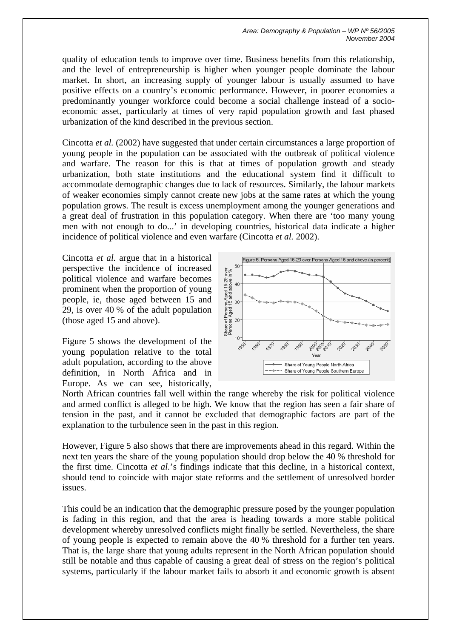quality of education tends to improve over time. Business benefits from this relationship, and the level of entrepreneurship is higher when younger people dominate the labour market. In short, an increasing supply of younger labour is usually assumed to have positive effects on a country's economic performance. However, in poorer economies a predominantly younger workforce could become a social challenge instead of a socioeconomic asset, particularly at times of very rapid population growth and fast phased urbanization of the kind described in the previous section.

Cincotta *et al.* (2002) have suggested that under certain circumstances a large proportion of young people in the population can be associated with the outbreak of political violence and warfare. The reason for this is that at times of population growth and steady urbanization, both state institutions and the educational system find it difficult to accommodate demographic changes due to lack of resources. Similarly, the labour markets of weaker economies simply cannot create new jobs at the same rates at which the young population grows. The result is excess unemployment among the younger generations and a great deal of frustration in this population category. When there are 'too many young men with not enough to do...' in developing countries, historical data indicate a higher incidence of political violence and even warfare (Cincotta *et al.* 2002).

Cincotta *et al.* argue that in a historical perspective the incidence of increased political violence and warfare becomes prominent when the proportion of young people, ie, those aged between 15 and 29, is over 40 % of the adult population (those aged 15 and above).

Figure 5 shows the development of the young population relative to the total adult population, according to the above definition, in North Africa and in Europe. As we can see, historically,



North African countries fall well within the range whereby the risk for political violence and armed conflict is alleged to be high. We know that the region has seen a fair share of tension in the past, and it cannot be excluded that demographic factors are part of the explanation to the turbulence seen in the past in this region.

However, Figure 5 also shows that there are improvements ahead in this regard. Within the next ten years the share of the young population should drop below the 40 % threshold for the first time. Cincotta *et al.*'s findings indicate that this decline, in a historical context, should tend to coincide with major state reforms and the settlement of unresolved border issues.

This could be an indication that the demographic pressure posed by the younger population is fading in this region, and that the area is heading towards a more stable political development whereby unresolved conflicts might finally be settled. Nevertheless, the share of young people is expected to remain above the 40 % threshold for a further ten years. That is, the large share that young adults represent in the North African population should still be notable and thus capable of causing a great deal of stress on the region's political systems, particularly if the labour market fails to absorb it and economic growth is absent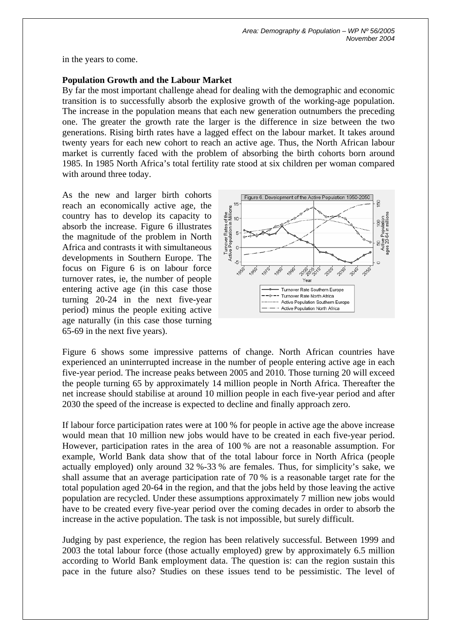in the years to come.

#### **Population Growth and the Labour Market**

By far the most important challenge ahead for dealing with the demographic and economic transition is to successfully absorb the explosive growth of the working-age population. The increase in the population means that each new generation outnumbers the preceding one. The greater the growth rate the larger is the difference in size between the two generations. Rising birth rates have a lagged effect on the labour market. It takes around twenty years for each new cohort to reach an active age. Thus, the North African labour market is currently faced with the problem of absorbing the birth cohorts born around 1985. In 1985 North Africa's total fertility rate stood at six children per woman compared with around three today.

As the new and larger birth cohorts reach an economically active age, the country has to develop its capacity to absorb the increase. Figure 6 illustrates the magnitude of the problem in North Africa and contrasts it with simultaneous developments in Southern Europe. The focus on Figure 6 is on labour force turnover rates, ie, the number of people entering active age (in this case those turning 20-24 in the next five-year period) minus the people exiting active age naturally (in this case those turning 65-69 in the next five years).



Figure 6 shows some impressive patterns of change. North African countries have experienced an uninterrupted increase in the number of people entering active age in each five-year period. The increase peaks between 2005 and 2010. Those turning 20 will exceed the people turning 65 by approximately 14 million people in North Africa. Thereafter the net increase should stabilise at around 10 million people in each five-year period and after 2030 the speed of the increase is expected to decline and finally approach zero.

If labour force participation rates were at 100 % for people in active age the above increase would mean that 10 million new jobs would have to be created in each five-year period. However, participation rates in the area of 100 % are not a reasonable assumption. For example, World Bank data show that of the total labour force in North Africa (people actually employed) only around 32 %-33 % are females. Thus, for simplicity's sake, we shall assume that an average participation rate of 70 % is a reasonable target rate for the total population aged 20-64 in the region, and that the jobs held by those leaving the active population are recycled. Under these assumptions approximately 7 million new jobs would have to be created every five-year period over the coming decades in order to absorb the increase in the active population. The task is not impossible, but surely difficult.

Judging by past experience, the region has been relatively successful. Between 1999 and 2003 the total labour force (those actually employed) grew by approximately 6.5 million according to World Bank employment data. The question is: can the region sustain this pace in the future also? Studies on these issues tend to be pessimistic. The level of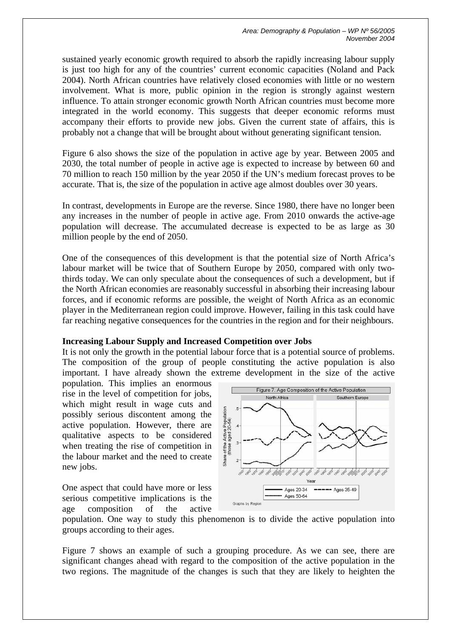sustained yearly economic growth required to absorb the rapidly increasing labour supply is just too high for any of the countries' current economic capacities (Noland and Pack 2004). North African countries have relatively closed economies with little or no western involvement. What is more, public opinion in the region is strongly against western influence. To attain stronger economic growth North African countries must become more integrated in the world economy. This suggests that deeper economic reforms must accompany their efforts to provide new jobs. Given the current state of affairs, this is probably not a change that will be brought about without generating significant tension.

Figure 6 also shows the size of the population in active age by year. Between 2005 and 2030, the total number of people in active age is expected to increase by between 60 and 70 million to reach 150 million by the year 2050 if the UN's medium forecast proves to be accurate. That is, the size of the population in active age almost doubles over 30 years.

In contrast, developments in Europe are the reverse. Since 1980, there have no longer been any increases in the number of people in active age. From 2010 onwards the active-age population will decrease. The accumulated decrease is expected to be as large as 30 million people by the end of 2050.

One of the consequences of this development is that the potential size of North Africa's labour market will be twice that of Southern Europe by 2050, compared with only twothirds today. We can only speculate about the consequences of such a development, but if the North African economies are reasonably successful in absorbing their increasing labour forces, and if economic reforms are possible, the weight of North Africa as an economic player in the Mediterranean region could improve. However, failing in this task could have far reaching negative consequences for the countries in the region and for their neighbours.

## **Increasing Labour Supply and Increased Competition over Jobs**

It is not only the growth in the potential labour force that is a potential source of problems. The composition of the group of people constituting the active population is also important. I have already shown the extreme development in the size of the active

population. This implies an enormous rise in the level of competition for jobs, which might result in wage cuts and possibly serious discontent among the active population. However, there are qualitative aspects to be considered when treating the rise of competition in the labour market and the need to create new jobs.

One aspect that could have more or less serious competitive implications is the age composition of the active



population. One way to study this phenomenon is to divide the active population into groups according to their ages.

Figure 7 shows an example of such a grouping procedure. As we can see, there are significant changes ahead with regard to the composition of the active population in the two regions. The magnitude of the changes is such that they are likely to heighten the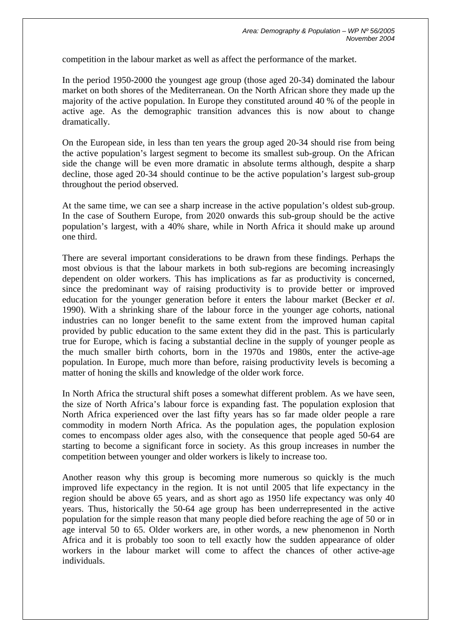competition in the labour market as well as affect the performance of the market.

In the period 1950-2000 the youngest age group (those aged 20-34) dominated the labour market on both shores of the Mediterranean. On the North African shore they made up the majority of the active population. In Europe they constituted around 40 % of the people in active age. As the demographic transition advances this is now about to change dramatically.

On the European side, in less than ten years the group aged 20-34 should rise from being the active population's largest segment to become its smallest sub-group. On the African side the change will be even more dramatic in absolute terms although, despite a sharp decline, those aged 20-34 should continue to be the active population's largest sub-group throughout the period observed.

At the same time, we can see a sharp increase in the active population's oldest sub-group. In the case of Southern Europe, from 2020 onwards this sub-group should be the active population's largest, with a 40% share, while in North Africa it should make up around one third.

There are several important considerations to be drawn from these findings. Perhaps the most obvious is that the labour markets in both sub-regions are becoming increasingly dependent on older workers. This has implications as far as productivity is concerned, since the predominant way of raising productivity is to provide better or improved education for the younger generation before it enters the labour market (Becker *et al*. 1990). With a shrinking share of the labour force in the younger age cohorts, national industries can no longer benefit to the same extent from the improved human capital provided by public education to the same extent they did in the past. This is particularly true for Europe, which is facing a substantial decline in the supply of younger people as the much smaller birth cohorts, born in the 1970s and 1980s, enter the active-age population. In Europe, much more than before, raising productivity levels is becoming a matter of honing the skills and knowledge of the older work force.

In North Africa the structural shift poses a somewhat different problem. As we have seen, the size of North Africa's labour force is expanding fast. The population explosion that North Africa experienced over the last fifty years has so far made older people a rare commodity in modern North Africa. As the population ages, the population explosion comes to encompass older ages also, with the consequence that people aged 50-64 are starting to become a significant force in society. As this group increases in number the competition between younger and older workers is likely to increase too.

Another reason why this group is becoming more numerous so quickly is the much improved life expectancy in the region. It is not until 2005 that life expectancy in the region should be above 65 years, and as short ago as 1950 life expectancy was only 40 years. Thus, historically the 50-64 age group has been underrepresented in the active population for the simple reason that many people died before reaching the age of 50 or in age interval 50 to 65. Older workers are, in other words, a new phenomenon in North Africa and it is probably too soon to tell exactly how the sudden appearance of older workers in the labour market will come to affect the chances of other active-age individuals.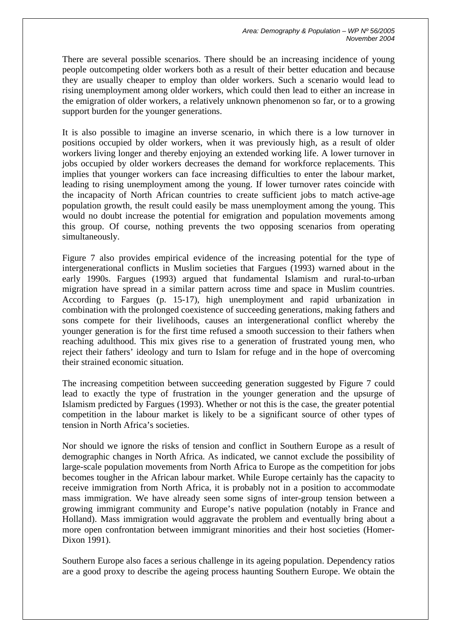There are several possible scenarios. There should be an increasing incidence of young people outcompeting older workers both as a result of their better education and because they are usually cheaper to employ than older workers. Such a scenario would lead to rising unemployment among older workers, which could then lead to either an increase in the emigration of older workers, a relatively unknown phenomenon so far, or to a growing support burden for the younger generations.

It is also possible to imagine an inverse scenario, in which there is a low turnover in positions occupied by older workers, when it was previously high, as a result of older workers living longer and thereby enjoying an extended working life. A lower turnover in jobs occupied by older workers decreases the demand for workforce replacements. This implies that younger workers can face increasing difficulties to enter the labour market, leading to rising unemployment among the young. If lower turnover rates coincide with the incapacity of North African countries to create sufficient jobs to match active-age population growth, the result could easily be mass unemployment among the young. This would no doubt increase the potential for emigration and population movements among this group. Of course, nothing prevents the two opposing scenarios from operating simultaneously.

Figure 7 also provides empirical evidence of the increasing potential for the type of intergenerational conflicts in Muslim societies that Fargues (1993) warned about in the early 1990s. Fargues (1993) argued that fundamental Islamism and rural-to-urban migration have spread in a similar pattern across time and space in Muslim countries. According to Fargues (p. 15-17), high unemployment and rapid urbanization in combination with the prolonged coexistence of succeeding generations, making fathers and sons compete for their livelihoods, causes an intergenerational conflict whereby the younger generation is for the first time refused a smooth succession to their fathers when reaching adulthood. This mix gives rise to a generation of frustrated young men, who reject their fathers' ideology and turn to Islam for refuge and in the hope of overcoming their strained economic situation.

The increasing competition between succeeding generation suggested by Figure 7 could lead to exactly the type of frustration in the younger generation and the upsurge of Islamism predicted by Fargues (1993). Whether or not this is the case, the greater potential competition in the labour market is likely to be a significant source of other types of tension in North Africa's societies.

Nor should we ignore the risks of tension and conflict in Southern Europe as a result of demographic changes in North Africa. As indicated, we cannot exclude the possibility of large-scale population movements from North Africa to Europe as the competition for jobs becomes tougher in the African labour market. While Europe certainly has the capacity to receive immigration from North Africa, it is probably not in a position to accommodate mass immigration. We have already seen some signs of inter-group tension between a growing immigrant community and Europe's native population (notably in France and Holland). Mass immigration would aggravate the problem and eventually bring about a more open confrontation between immigrant minorities and their host societies (Homer-Dixon 1991).

Southern Europe also faces a serious challenge in its ageing population. Dependency ratios are a good proxy to describe the ageing process haunting Southern Europe. We obtain the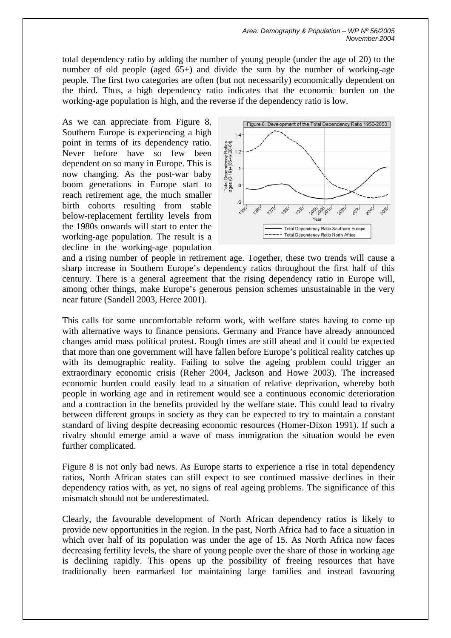total dependency ratio by adding the number of young people (under the age of 20) to the number of old people (aged 65+) and divide the sum by the number of working-age people. The first two categories are often (but not necessarily) economically dependent on the third. Thus, a high dependency ratio indicates that the economic burden on the working-age population is high, and the reverse if the dependency ratio is low.

As we can appreciate from Figure 8, Southern Europe is experiencing a high point in terms of its dependency ratio. Never before have so few been dependent on so many in Europe. This is now changing. As the post-war baby boom generations in Europe start to reach retirement age, the much smaller birth cohorts resulting from stable below-replacement fertility levels from the 1980s onwards will start to enter the working-age population. The result is a decline in the working-age population



and a rising number of people in retirement age. Together, these two trends will cause a sharp increase in Southern Europe's dependency ratios throughout the first half of this century. There is a general agreement that the rising dependency ratio in Europe will, among other things, make Europe's generous pension schemes unsustainable in the very near future (Sandell 2003, Herce 2001).

This calls for some uncomfortable reform work, with welfare states having to come up with alternative ways to finance pensions. Germany and France have already announced changes amid mass political protest. Rough times are still ahead and it could be expected that more than one government will have fallen before Europe's political reality catches up with its demographic reality. Failing to solve the ageing problem could trigger an extraordinary economic crisis (Reher 2004, Jackson and Howe 2003). The increased economic burden could easily lead to a situation of relative deprivation, whereby both people in working age and in retirement would see a continuous economic deterioration and a contraction in the benefits provided by the welfare state. This could lead to rivalry between different groups in society as they can be expected to try to maintain a constant standard of living despite decreasing economic resources (Homer-Dixon 1991). If such a rivalry should emerge amid a wave of mass immigration the situation would be even further complicated.

Figure 8 is not only bad news. As Europe starts to experience a rise in total dependency ratios, North African states can still expect to see continued massive declines in their dependency ratios with, as yet, no signs of real ageing problems. The significance of this mismatch should not be underestimated.

Clearly, the favourable development of North African dependency ratios is likely to provide new opportunities in the region. In the past, North Africa had to face a situation in which over half of its population was under the age of 15. As North Africa now faces decreasing fertility levels, the share of young people over the share of those in working age is declining rapidly. This opens up the possibility of freeing resources that have traditionally been earmarked for maintaining large families and instead favouring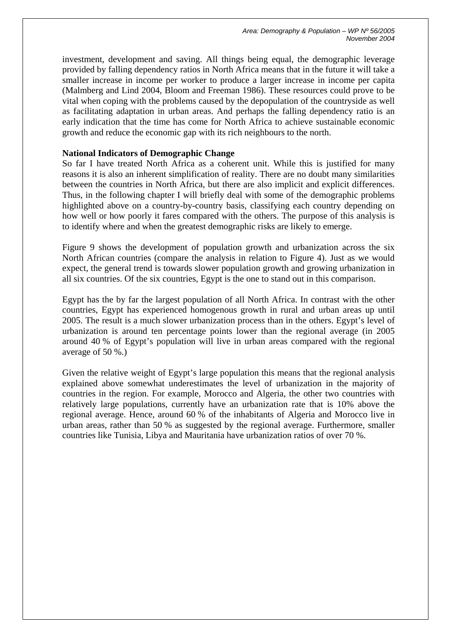investment, development and saving. All things being equal, the demographic leverage provided by falling dependency ratios in North Africa means that in the future it will take a smaller increase in income per worker to produce a larger increase in income per capita (Malmberg and Lind 2004, Bloom and Freeman 1986). These resources could prove to be vital when coping with the problems caused by the depopulation of the countryside as well as facilitating adaptation in urban areas. And perhaps the falling dependency ratio is an early indication that the time has come for North Africa to achieve sustainable economic growth and reduce the economic gap with its rich neighbours to the north.

## **National Indicators of Demographic Change**

So far I have treated North Africa as a coherent unit. While this is justified for many reasons it is also an inherent simplification of reality. There are no doubt many similarities between the countries in North Africa, but there are also implicit and explicit differences. Thus, in the following chapter I will briefly deal with some of the demographic problems highlighted above on a country-by-country basis, classifying each country depending on how well or how poorly it fares compared with the others. The purpose of this analysis is to identify where and when the greatest demographic risks are likely to emerge.

Figure 9 shows the development of population growth and urbanization across the six North African countries (compare the analysis in relation to Figure 4). Just as we would expect, the general trend is towards slower population growth and growing urbanization in all six countries. Of the six countries, Egypt is the one to stand out in this comparison.

Egypt has the by far the largest population of all North Africa. In contrast with the other countries, Egypt has experienced homogenous growth in rural and urban areas up until 2005. The result is a much slower urbanization process than in the others. Egypt's level of urbanization is around ten percentage points lower than the regional average (in 2005 around 40 % of Egypt's population will live in urban areas compared with the regional average of 50 %.)

Given the relative weight of Egypt's large population this means that the regional analysis explained above somewhat underestimates the level of urbanization in the majority of countries in the region. For example, Morocco and Algeria, the other two countries with relatively large populations, currently have an urbanization rate that is 10% above the regional average. Hence, around 60 % of the inhabitants of Algeria and Morocco live in urban areas, rather than 50 % as suggested by the regional average. Furthermore, smaller countries like Tunisia, Libya and Mauritania have urbanization ratios of over 70 %.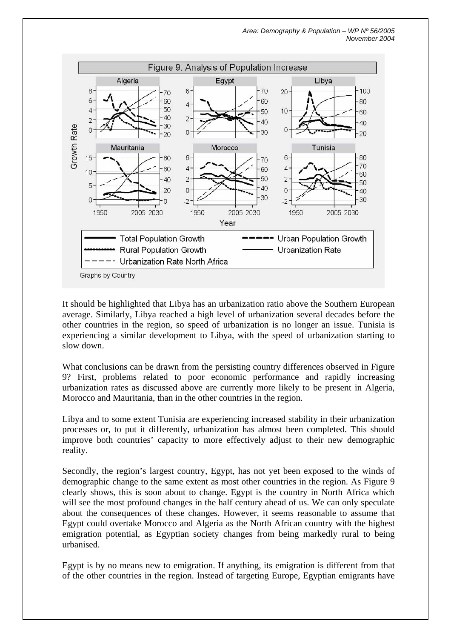

It should be highlighted that Libya has an urbanization ratio above the Southern European average. Similarly, Libya reached a high level of urbanization several decades before the other countries in the region, so speed of urbanization is no longer an issue. Tunisia is experiencing a similar development to Libya, with the speed of urbanization starting to slow down.

What conclusions can be drawn from the persisting country differences observed in Figure 9? First, problems related to poor economic performance and rapidly increasing urbanization rates as discussed above are currently more likely to be present in Algeria, Morocco and Mauritania, than in the other countries in the region.

Libya and to some extent Tunisia are experiencing increased stability in their urbanization processes or, to put it differently, urbanization has almost been completed. This should improve both countries' capacity to more effectively adjust to their new demographic reality.

Secondly, the region's largest country, Egypt, has not yet been exposed to the winds of demographic change to the same extent as most other countries in the region. As Figure 9 clearly shows, this is soon about to change. Egypt is the country in North Africa which will see the most profound changes in the half century ahead of us. We can only speculate about the consequences of these changes. However, it seems reasonable to assume that Egypt could overtake Morocco and Algeria as the North African country with the highest emigration potential, as Egyptian society changes from being markedly rural to being urbanised.

Egypt is by no means new to emigration. If anything, its emigration is different from that of the other countries in the region. Instead of targeting Europe, Egyptian emigrants have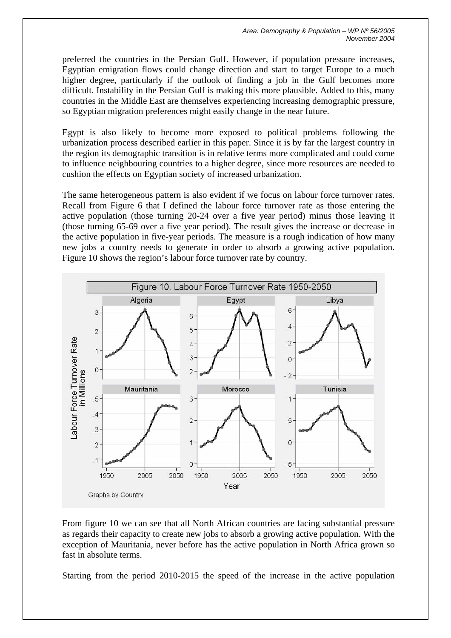preferred the countries in the Persian Gulf. However, if population pressure increases, Egyptian emigration flows could change direction and start to target Europe to a much higher degree, particularly if the outlook of finding a job in the Gulf becomes more difficult. Instability in the Persian Gulf is making this more plausible. Added to this, many countries in the Middle East are themselves experiencing increasing demographic pressure, so Egyptian migration preferences might easily change in the near future.

Egypt is also likely to become more exposed to political problems following the urbanization process described earlier in this paper. Since it is by far the largest country in the region its demographic transition is in relative terms more complicated and could come to influence neighbouring countries to a higher degree, since more resources are needed to cushion the effects on Egyptian society of increased urbanization.

The same heterogeneous pattern is also evident if we focus on labour force turnover rates. Recall from Figure 6 that I defined the labour force turnover rate as those entering the active population (those turning 20-24 over a five year period) minus those leaving it (those turning 65-69 over a five year period). The result gives the increase or decrease in the active population in five-year periods. The measure is a rough indication of how many new jobs a country needs to generate in order to absorb a growing active population. Figure 10 shows the region's labour force turnover rate by country.



From figure 10 we can see that all North African countries are facing substantial pressure as regards their capacity to create new jobs to absorb a growing active population. With the exception of Mauritania, never before has the active population in North Africa grown so fast in absolute terms.

Starting from the period 2010-2015 the speed of the increase in the active population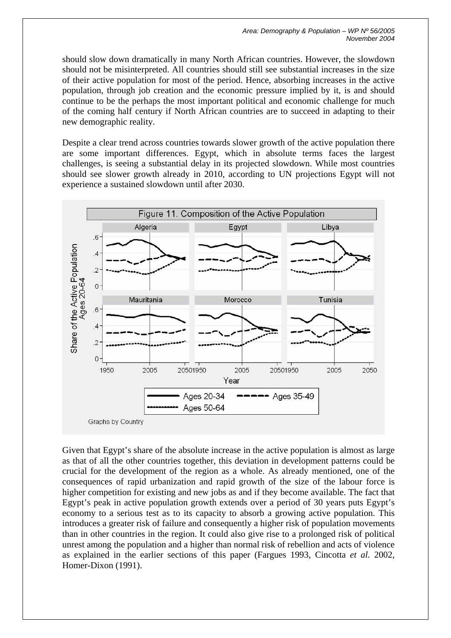should slow down dramatically in many North African countries. However, the slowdown should not be misinterpreted. All countries should still see substantial increases in the size of their active population for most of the period. Hence, absorbing increases in the active population, through job creation and the economic pressure implied by it, is and should continue to be the perhaps the most important political and economic challenge for much of the coming half century if North African countries are to succeed in adapting to their new demographic reality.

Despite a clear trend across countries towards slower growth of the active population there are some important differences. Egypt, which in absolute terms faces the largest challenges, is seeing a substantial delay in its projected slowdown. While most countries should see slower growth already in 2010, according to UN projections Egypt will not experience a sustained slowdown until after 2030.



Given that Egypt's share of the absolute increase in the active population is almost as large as that of all the other countries together, this deviation in development patterns could be crucial for the development of the region as a whole. As already mentioned, one of the consequences of rapid urbanization and rapid growth of the size of the labour force is higher competition for existing and new jobs as and if they become available. The fact that Egypt's peak in active population growth extends over a period of 30 years puts Egypt's economy to a serious test as to its capacity to absorb a growing active population. This introduces a greater risk of failure and consequently a higher risk of population movements than in other countries in the region. It could also give rise to a prolonged risk of political unrest among the population and a higher than normal risk of rebellion and acts of violence as explained in the earlier sections of this paper (Fargues 1993, Cincotta *et al.* 2002, Homer-Dixon (1991).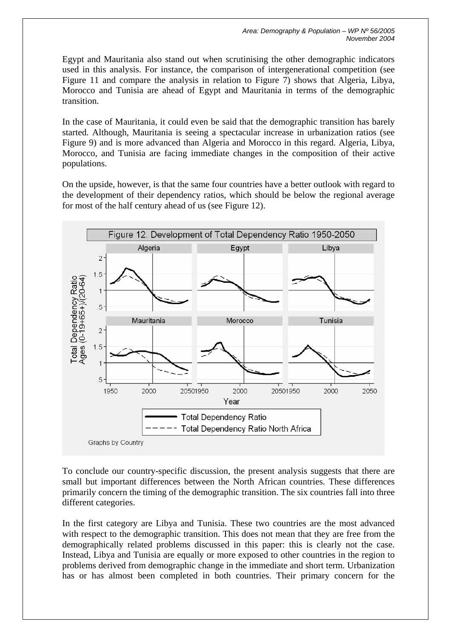Egypt and Mauritania also stand out when scrutinising the other demographic indicators used in this analysis. For instance, the comparison of intergenerational competition (see Figure 11 and compare the analysis in relation to Figure 7) shows that Algeria, Libya, Morocco and Tunisia are ahead of Egypt and Mauritania in terms of the demographic transition.

In the case of Mauritania, it could even be said that the demographic transition has barely started. Although, Mauritania is seeing a spectacular increase in urbanization ratios (see Figure 9) and is more advanced than Algeria and Morocco in this regard. Algeria, Libya, Morocco, and Tunisia are facing immediate changes in the composition of their active populations.

On the upside, however, is that the same four countries have a better outlook with regard to the development of their dependency ratios, which should be below the regional average for most of the half century ahead of us (see Figure 12).



To conclude our country-specific discussion, the present analysis suggests that there are small but important differences between the North African countries. These differences primarily concern the timing of the demographic transition. The six countries fall into three different categories.

In the first category are Libya and Tunisia. These two countries are the most advanced with respect to the demographic transition. This does not mean that they are free from the demographically related problems discussed in this paper: this is clearly not the case. Instead, Libya and Tunisia are equally or more exposed to other countries in the region to problems derived from demographic change in the immediate and short term. Urbanization has or has almost been completed in both countries. Their primary concern for the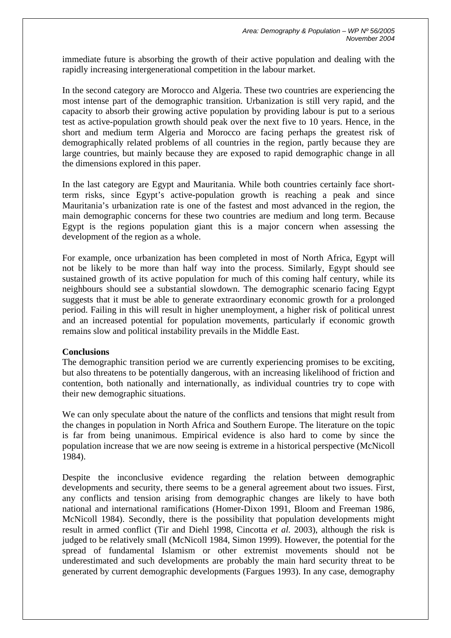immediate future is absorbing the growth of their active population and dealing with the rapidly increasing intergenerational competition in the labour market.

In the second category are Morocco and Algeria. These two countries are experiencing the most intense part of the demographic transition. Urbanization is still very rapid, and the capacity to absorb their growing active population by providing labour is put to a serious test as active-population growth should peak over the next five to 10 years. Hence, in the short and medium term Algeria and Morocco are facing perhaps the greatest risk of demographically related problems of all countries in the region, partly because they are large countries, but mainly because they are exposed to rapid demographic change in all the dimensions explored in this paper.

In the last category are Egypt and Mauritania. While both countries certainly face shortterm risks, since Egypt's active-population growth is reaching a peak and since Mauritania's urbanization rate is one of the fastest and most advanced in the region, the main demographic concerns for these two countries are medium and long term. Because Egypt is the regions population giant this is a major concern when assessing the development of the region as a whole.

For example, once urbanization has been completed in most of North Africa, Egypt will not be likely to be more than half way into the process. Similarly, Egypt should see sustained growth of its active population for much of this coming half century, while its neighbours should see a substantial slowdown. The demographic scenario facing Egypt suggests that it must be able to generate extraordinary economic growth for a prolonged period. Failing in this will result in higher unemployment, a higher risk of political unrest and an increased potential for population movements, particularly if economic growth remains slow and political instability prevails in the Middle East.

## **Conclusions**

The demographic transition period we are currently experiencing promises to be exciting, but also threatens to be potentially dangerous, with an increasing likelihood of friction and contention, both nationally and internationally, as individual countries try to cope with their new demographic situations.

We can only speculate about the nature of the conflicts and tensions that might result from the changes in population in North Africa and Southern Europe. The literature on the topic is far from being unanimous. Empirical evidence is also hard to come by since the population increase that we are now seeing is extreme in a historical perspective (McNicoll 1984).

Despite the inconclusive evidence regarding the relation between demographic developments and security, there seems to be a general agreement about two issues. First, any conflicts and tension arising from demographic changes are likely to have both national and international ramifications (Homer-Dixon 1991, Bloom and Freeman 1986, McNicoll 1984). Secondly, there is the possibility that population developments might result in armed conflict (Tir and Diehl 1998, Cincotta *et al.* 2003), although the risk is judged to be relatively small (McNicoll 1984, Simon 1999). However, the potential for the spread of fundamental Islamism or other extremist movements should not be underestimated and such developments are probably the main hard security threat to be generated by current demographic developments (Fargues 1993). In any case, demography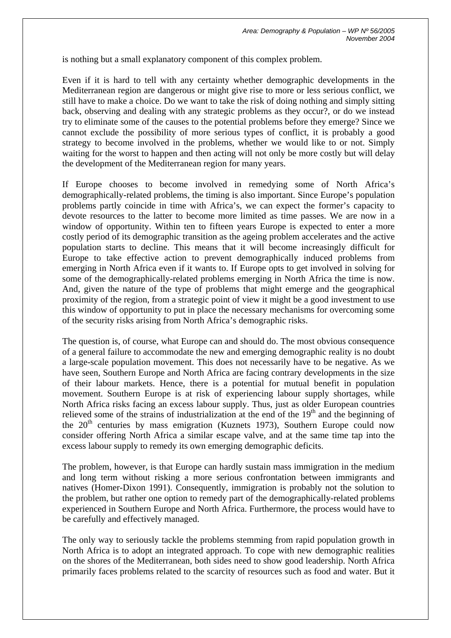is nothing but a small explanatory component of this complex problem.

Even if it is hard to tell with any certainty whether demographic developments in the Mediterranean region are dangerous or might give rise to more or less serious conflict, we still have to make a choice. Do we want to take the risk of doing nothing and simply sitting back, observing and dealing with any strategic problems as they occur?, or do we instead try to eliminate some of the causes to the potential problems before they emerge? Since we cannot exclude the possibility of more serious types of conflict, it is probably a good strategy to become involved in the problems, whether we would like to or not. Simply waiting for the worst to happen and then acting will not only be more costly but will delay the development of the Mediterranean region for many years.

If Europe chooses to become involved in remedying some of North Africa's demographically-related problems, the timing is also important. Since Europe's population problems partly coincide in time with Africa's, we can expect the former's capacity to devote resources to the latter to become more limited as time passes. We are now in a window of opportunity. Within ten to fifteen years Europe is expected to enter a more costly period of its demographic transition as the ageing problem accelerates and the active population starts to decline. This means that it will become increasingly difficult for Europe to take effective action to prevent demographically induced problems from emerging in North Africa even if it wants to. If Europe opts to get involved in solving for some of the demographically-related problems emerging in North Africa the time is now. And, given the nature of the type of problems that might emerge and the geographical proximity of the region, from a strategic point of view it might be a good investment to use this window of opportunity to put in place the necessary mechanisms for overcoming some of the security risks arising from North Africa's demographic risks.

The question is, of course, what Europe can and should do. The most obvious consequence of a general failure to accommodate the new and emerging demographic reality is no doubt a large-scale population movement. This does not necessarily have to be negative. As we have seen, Southern Europe and North Africa are facing contrary developments in the size of their labour markets. Hence, there is a potential for mutual benefit in population movement. Southern Europe is at risk of experiencing labour supply shortages, while North Africa risks facing an excess labour supply. Thus, just as older European countries relieved some of the strains of industrialization at the end of the  $19<sup>th</sup>$  and the beginning of the  $20<sup>th</sup>$  centuries by mass emigration (Kuznets 1973), Southern Europe could now consider offering North Africa a similar escape valve, and at the same time tap into the excess labour supply to remedy its own emerging demographic deficits.

The problem, however, is that Europe can hardly sustain mass immigration in the medium and long term without risking a more serious confrontation between immigrants and natives (Homer-Dixon 1991). Consequently, immigration is probably not the solution to the problem, but rather one option to remedy part of the demographically-related problems experienced in Southern Europe and North Africa. Furthermore, the process would have to be carefully and effectively managed.

The only way to seriously tackle the problems stemming from rapid population growth in North Africa is to adopt an integrated approach. To cope with new demographic realities on the shores of the Mediterranean, both sides need to show good leadership. North Africa primarily faces problems related to the scarcity of resources such as food and water. But it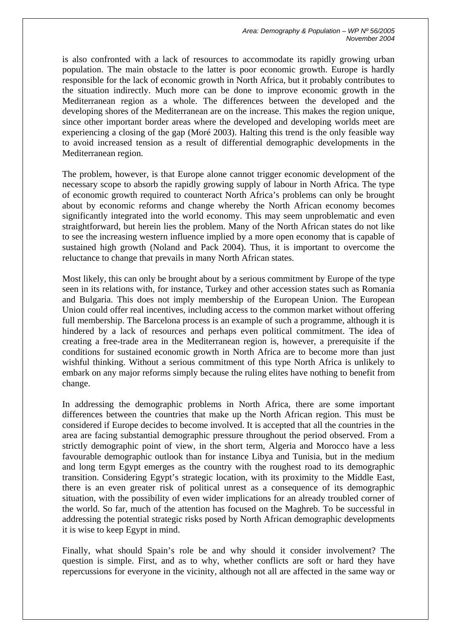*Area: Demography & Population – WP Nº 56/2005 November 2004*

is also confronted with a lack of resources to accommodate its rapidly growing urban population. The main obstacle to the latter is poor economic growth. Europe is hardly responsible for the lack of economic growth in North Africa, but it probably contributes to the situation indirectly. Much more can be done to improve economic growth in the Mediterranean region as a whole. The differences between the developed and the developing shores of the Mediterranean are on the increase. This makes the region unique, since other important border areas where the developed and developing worlds meet are experiencing a closing of the gap (Moré 2003). Halting this trend is the only feasible way to avoid increased tension as a result of differential demographic developments in the Mediterranean region.

The problem, however, is that Europe alone cannot trigger economic development of the necessary scope to absorb the rapidly growing supply of labour in North Africa. The type of economic growth required to counteract North Africa's problems can only be brought about by economic reforms and change whereby the North African economy becomes significantly integrated into the world economy. This may seem unproblematic and even straightforward, but herein lies the problem. Many of the North African states do not like to see the increasing western influence implied by a more open economy that is capable of sustained high growth (Noland and Pack 2004). Thus, it is important to overcome the reluctance to change that prevails in many North African states.

Most likely, this can only be brought about by a serious commitment by Europe of the type seen in its relations with, for instance, Turkey and other accession states such as Romania and Bulgaria. This does not imply membership of the European Union. The European Union could offer real incentives, including access to the common market without offering full membership. The Barcelona process is an example of such a programme, although it is hindered by a lack of resources and perhaps even political commitment. The idea of creating a free-trade area in the Mediterranean region is, however, a prerequisite if the conditions for sustained economic growth in North Africa are to become more than just wishful thinking. Without a serious commitment of this type North Africa is unlikely to embark on any major reforms simply because the ruling elites have nothing to benefit from change.

In addressing the demographic problems in North Africa, there are some important differences between the countries that make up the North African region. This must be considered if Europe decides to become involved. It is accepted that all the countries in the area are facing substantial demographic pressure throughout the period observed. From a strictly demographic point of view, in the short term, Algeria and Morocco have a less favourable demographic outlook than for instance Libya and Tunisia, but in the medium and long term Egypt emerges as the country with the roughest road to its demographic transition. Considering Egypt's strategic location, with its proximity to the Middle East, there is an even greater risk of political unrest as a consequence of its demographic situation, with the possibility of even wider implications for an already troubled corner of the world. So far, much of the attention has focused on the Maghreb. To be successful in addressing the potential strategic risks posed by North African demographic developments it is wise to keep Egypt in mind.

Finally, what should Spain's role be and why should it consider involvement? The question is simple. First, and as to why, whether conflicts are soft or hard they have repercussions for everyone in the vicinity, although not all are affected in the same way or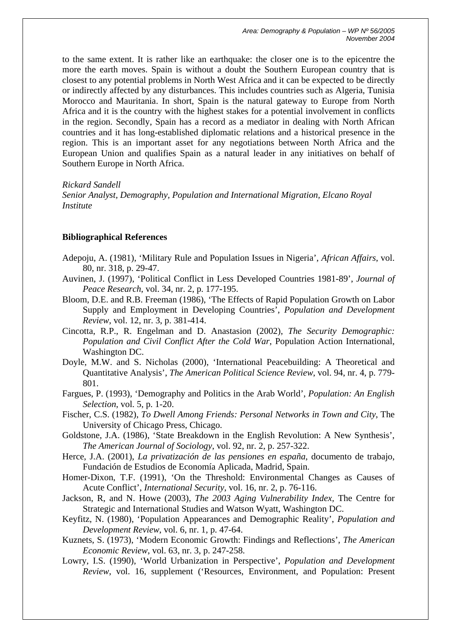to the same extent. It is rather like an earthquake: the closer one is to the epicentre the more the earth moves. Spain is without a doubt the Southern European country that is closest to any potential problems in North West Africa and it can be expected to be directly or indirectly affected by any disturbances. This includes countries such as Algeria, Tunisia Morocco and Mauritania. In short, Spain is the natural gateway to Europe from North Africa and it is the country with the highest stakes for a potential involvement in conflicts in the region. Secondly, Spain has a record as a mediator in dealing with North African countries and it has long-established diplomatic relations and a historical presence in the region. This is an important asset for any negotiations between North Africa and the European Union and qualifies Spain as a natural leader in any initiatives on behalf of Southern Europe in North Africa.

#### *Rickard Sandell*

*Senior Analyst, Demography, Population and International Migration, Elcano Royal Institute* 

## **Bibliographical References**

- Adepoju, A. (1981), 'Military Rule and Population Issues in Nigeria', *African Affairs*, vol. 80, nr. 318, p. 29-47.
- Auvinen, J. (1997), 'Political Conflict in Less Developed Countries 1981-89', *Journal of Peace Research*, vol. 34, nr. 2, p. 177-195.
- Bloom, D.E. and R.B. Freeman (1986), 'The Effects of Rapid Population Growth on Labor Supply and Employment in Developing Countries', *Population and Development Review*, vol. 12, nr. 3, p. 381-414.
- Cincotta, R.P., R. Engelman and D. Anastasion (2002), *The Security Demographic: Population and Civil Conflict After the Cold War*, Population Action International, Washington DC.
- Doyle, M.W. and S. Nicholas (2000), 'International Peacebuilding: A Theoretical and Quantitative Analysis', *The American Political Science Review*, vol. 94, nr. 4, p. 779- 801.
- Fargues, P. (1993), 'Demography and Politics in the Arab World', *Population: An English Selection*, vol. 5, p. 1-20.
- Fischer, C.S. (1982), *To Dwell Among Friends: Personal Networks in Town and City*, The University of Chicago Press, Chicago.
- Goldstone, J.A. (1986), 'State Breakdown in the English Revolution: A New Synthesis', *The American Journal of Sociology*, vol. 92, nr. 2, p. 257-322.
- Herce, J.A. (2001), *La privatización de las pensiones en españa*, documento de trabajo, Fundación de Estudios de Economía Aplicada, Madrid, Spain.
- Homer-Dixon, T.F. (1991), 'On the Threshold: Environmental Changes as Causes of Acute Conflict', *International Security*, vol. 16, nr. 2, p. 76-116.
- Jackson, R, and N. Howe (2003), *The 2003 Aging Vulnerability Index,* The Centre for Strategic and International Studies and Watson Wyatt, Washington DC.
- Keyfitz, N. (1980), 'Population Appearances and Demographic Reality', *Population and Development Review*, vol. 6, nr. 1, p. 47-64.
- Kuznets, S. (1973), 'Modern Economic Growth: Findings and Reflections', *The American Economic Review*, vol. 63, nr. 3, p. 247-258.
- Lowry, I.S. (1990), 'World Urbanization in Perspective', *Population and Development Review*, vol. 16, supplement ('Resources, Environment, and Population: Present